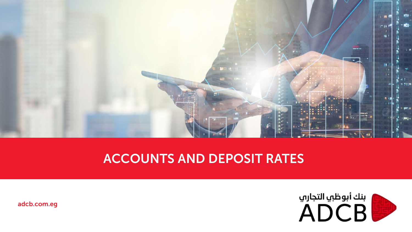

## ACCOUNTS AND DEPOSIT RATES



adcb.com.eg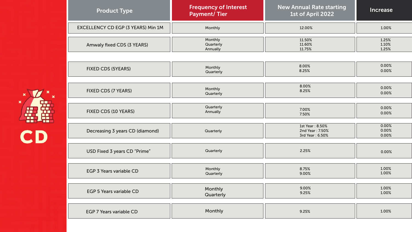| <b>Product Type</b>                | <b>Frequency of Interest</b><br><b>Payment/Tier</b> | <b>New Annual Rate starting</b><br>1st of April 2022  | Increase                |
|------------------------------------|-----------------------------------------------------|-------------------------------------------------------|-------------------------|
| EXCELLENCY CD EGP (3 YEARS) Min 1M | Monthly                                             | 12.00%                                                | 1.00%                   |
| Amwaly fixed CDS (3 YEARS)         | Monthly                                             | 11.50%                                                | 1.25%                   |
|                                    | Quarterly                                           | 11.60%                                                | 1.10%                   |
|                                    | Annually                                            | 11.75%                                                | 1.25%                   |
| <b>FIXED CDS (5YEARS)</b>          | Monthly                                             | 8.00%                                                 | 0.00%                   |
|                                    | Quarterly                                           | 8.25%                                                 | 0.00%                   |
| FIXED CDS (7 YEARS)                | Monthly                                             | 8.00%                                                 | 0.00%                   |
|                                    | Quarterly                                           | 8.25%                                                 | 0.00%                   |
| FIXED CDS (10 YEARS)               | Quarterly                                           | 7.00%                                                 | 0.00%                   |
|                                    | Annually                                            | 7.50%                                                 | 0.00%                   |
| Decreasing 3 years CD (diamond)    | Quarterly                                           | 1st Year: 8.50%<br>2nd Year: 7.50%<br>3rd Year: 6.50% | 0.00%<br>0.00%<br>0.00% |
| USD Fixed 3 years CD "Prime"       | Quarterly                                           | 2.25%                                                 | 0.00%                   |
| <b>EGP 3 Years variable CD</b>     | Monthly                                             | 8.75%                                                 | 1.00%                   |
|                                    | Quarterly                                           | 9.00%                                                 | 1.00%                   |
| <b>EGP 5 Years variable CD</b>     | Monthly                                             | 9.00%                                                 | 1.00%                   |
|                                    | Quarterly                                           | 9.25%                                                 | 1.00%                   |
| <b>EGP 7 Years variable CD</b>     | Monthly                                             | 9.25%                                                 | 1.00%                   |

×

 $\pmb{\times}$ 

 $\boldsymbol{\mathsf{x}}$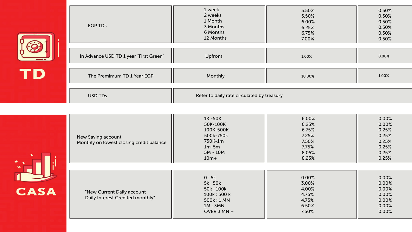

| <b>EGP TDs</b>                         | 1 week<br>2 weeks<br>1 Month<br>3 Months<br>6 Months<br>12 Months | 5.50%<br>5.50%<br>6.00%<br>6.25%<br>6.75%<br>7.00% | 0.50%<br>0.50%<br>0.50%<br>0.50%<br>0.50%<br>0.50% |
|----------------------------------------|-------------------------------------------------------------------|----------------------------------------------------|----------------------------------------------------|
| In Advance USD TD 1 year "First Green" | Upfront                                                           | 1.00%                                              | 0.00%                                              |
| The Premimum TD 1 Year EGP             | Monthly                                                           | 10.00%                                             | 1.00%                                              |
| USD TDs                                | Refer to daily rate circulated by treasury                        |                                                    |                                                    |

| ÷           | New Saving account<br>Monthly on lowest closing credit balance | 1K-50K<br>50K-100K<br>100K-500K<br>500k-750k<br>750K-1m<br>$1m-5m$<br>$5M - 10M$<br>$10m+$ | 6.00%<br>6.25%<br>6.75%<br>7.25%<br>7.50%<br>7.75%<br>8.05%<br>8.25% | 0.00%<br>0.00%<br>0.25%<br>0.25%<br>0.25%<br>0.25%<br>0.25%<br>0.25% |
|-------------|----------------------------------------------------------------|--------------------------------------------------------------------------------------------|----------------------------------------------------------------------|----------------------------------------------------------------------|
| <b>CASA</b> | "New Current Daily account                                     | 0:5k<br>5k: 50k<br>50k: 100k<br>100k: 500 k                                                | 0.00%<br>3.00%<br>4.00%<br>4.75%                                     | 0.00%<br>0.00%<br>0.00%<br>0.00%                                     |
|             | Daily Interest Credited monthly"                               | 500k: 1 MN<br>1M:3MN<br>OVER 3 MN $+$                                                      | 4.75%<br>6.50%<br>7.50%                                              | 0.00%<br>0.00%<br>0.00%                                              |